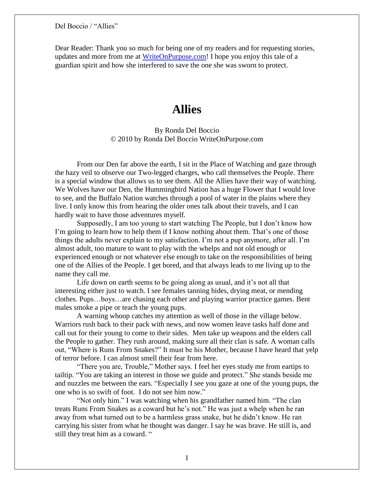Dear Reader: Thank you so much for being one of my readers and for requesting stories, updates and more from me at [WriteOnPurpose.com!](http://writeonpurpose.com/) I hope you enjoy this tale of a guardian spirit and how she interfered to save the one she was sworn to protect.

# **Allies**

# By Ronda Del Boccio © 2010 by Ronda Del Boccio WriteOnPurpose.com

From our Den far above the earth, I sit in the Place of Watching and gaze through the hazy veil to observe our Two-legged charges, who call themselves the People. There is a special window that allows us to see them. All the Allies have their way of watching. We Wolves have our Den, the Hummingbird Nation has a huge Flower that I would love to see, and the Buffalo Nation watches through a pool of water in the plains where they live. I only know this from hearing the older ones talk about their travels, and I can hardly wait to have those adventures myself.

Supposedly, I am too young to start watching The People, but I don't know how I'm going to learn how to help them if I know nothing about them. That's one of those things the adults never explain to my satisfaction. I'm not a pup anymore, after all. I'm almost adult, too mature to want to play with the whelps and not old enough or experienced enough or not whatever else enough to take on the responsibilities of being one of the Allies of the People. I get bored, and that always leads to me living up to the name they call me.

Life down on earth seems to be going along as usual, and it's not all that interesting either just to watch. I see females tanning hides, drying meat, or mending clothes. Pups…boys…are chasing each other and playing warrior practice games. Bent males smoke a pipe or teach the young pups.

A warning whoop catches my attention as well of those in the village below. Warriors rush back to their pack with news, and now women leave tasks half done and call out for their young to come to their sides. Men take up weapons and the elders call the People to gather. They rush around, making sure all their clan is safe. A woman calls out, "Where is Runs From Snakes?" It must be his Mother, because I have heard that yelp of terror before. I can almost smell their fear from here.

"There you are, Trouble," Mother says. I feel her eyes study me from eartips to tailtip. "You are taking an interest in those we guide and protect." She stands beside me and nuzzles me between the ears. "Especially I see you gaze at one of the young pups, the one who is so swift of foot. I do not see him now."

"Not only him." I was watching when his grandfather named him. "The clan treats Runs From Snakes as a coward but he's not." He was just a whelp when he ran away from what turned out to be a harmless grass snake, but he didn't know. He ran carrying his sister from what he thought was danger. I say he was brave. He still is, and still they treat him as a coward. "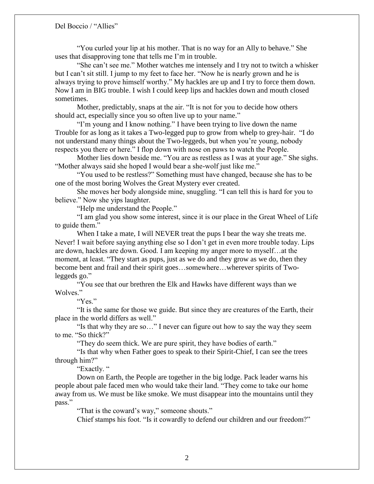"You curled your lip at his mother. That is no way for an Ally to behave." She uses that disapproving tone that tells me I'm in trouble.

"She can't see me." Mother watches me intensely and I try not to twitch a whisker but I can't sit still. I jump to my feet to face her. "Now he is nearly grown and he is always trying to prove himself worthy." My hackles are up and I try to force them down. Now I am in BIG trouble. I wish I could keep lips and hackles down and mouth closed sometimes.

Mother, predictably, snaps at the air. "It is not for you to decide how others should act, especially since you so often live up to your name."

"I'm young and I know nothing." I have been trying to live down the name Trouble for as long as it takes a Two-legged pup to grow from whelp to grey-hair. "I do not understand many things about the Two-leggeds, but when you're young, nobody respects you there or here." I flop down with nose on paws to watch the People.

Mother lies down beside me. "You are as restless as I was at your age." She sighs. "Mother always said she hoped I would bear a she-wolf just like me."

"You used to be restless?" Something must have changed, because she has to be one of the most boring Wolves the Great Mystery ever created.

She moves her body alongside mine, snuggling. "I can tell this is hard for you to believe." Now she yips laughter.

"Help me understand the People."

"I am glad you show some interest, since it is our place in the Great Wheel of Life to guide them."

When I take a mate, I will NEVER treat the pups I bear the way she treats me. Never! I wait before saying anything else so I don't get in even more trouble today. Lips are down, hackles are down. Good. I am keeping my anger more to myself…at the moment, at least. "They start as pups, just as we do and they grow as we do, then they become bent and frail and their spirit goes…somewhere…wherever spirits of Twoleggeds go."

"You see that our brethren the Elk and Hawks have different ways than we Wolves."

"Yes."

"It is the same for those we guide. But since they are creatures of the Earth, their place in the world differs as well."

"Is that why they are so…" I never can figure out how to say the way they seem to me. "So thick?"

"They do seem thick. We are pure spirit, they have bodies of earth."

"Is that why when Father goes to speak to their Spirit-Chief, I can see the trees through him?"

"Exactly. "

Down on Earth, the People are together in the big lodge. Pack leader warns his people about pale faced men who would take their land. "They come to take our home away from us. We must be like smoke. We must disappear into the mountains until they pass."

"That is the coward's way," someone shouts."

Chief stamps his foot. "Is it cowardly to defend our children and our freedom?"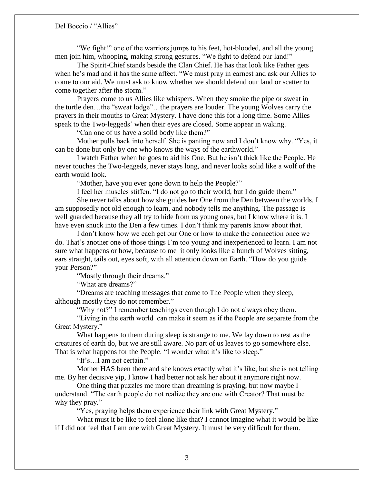"We fight!" one of the warriors jumps to his feet, hot-blooded, and all the young men join him, whooping, making strong gestures. "We fight to defend our land!"

The Spirit-Chief stands beside the Clan Chief. He has that look like Father gets when he's mad and it has the same affect. "We must pray in earnest and ask our Allies to come to our aid. We must ask to know whether we should defend our land or scatter to come together after the storm."

Prayers come to us Allies like whispers. When they smoke the pipe or sweat in the turtle den…the "sweat lodge"…the prayers are louder. The young Wolves carry the prayers in their mouths to Great Mystery. I have done this for a long time. Some Allies speak to the Two-leggeds' when their eyes are closed. Some appear in waking.

"Can one of us have a solid body like them?"

Mother pulls back into herself. She is panting now and I don't know why. "Yes, it can be done but only by one who knows the ways of the earthworld."

I watch Father when he goes to aid his One. But he isn't thick like the People. He never touches the Two-leggeds, never stays long, and never looks solid like a wolf of the earth would look.

"Mother, have you ever gone down to help the People?"

I feel her muscles stiffen. "I do not go to their world, but I do guide them."

She never talks about how she guides her One from the Den between the worlds. I am supposedly not old enough to learn, and nobody tells me anything. The passage is well guarded because they all try to hide from us young ones, but I know where it is. I have even snuck into the Den a few times. I don't think my parents know about that.

I don't know how we each get our One or how to make the connection once we do. That's another one of those things I'm too young and inexperienced to learn. I am not sure what happens or how, because to me it only looks like a bunch of Wolves sitting, ears straight, tails out, eyes soft, with all attention down on Earth. "How do you guide your Person?"

"Mostly through their dreams."

"What are dreams?"

"Dreams are teaching messages that come to The People when they sleep, although mostly they do not remember."

"Why not?" I remember teachings even though I do not always obey them.

"Living in the earth world can make it seem as if the People are separate from the Great Mystery."

What happens to them during sleep is strange to me. We lay down to rest as the creatures of earth do, but we are still aware. No part of us leaves to go somewhere else. That is what happens for the People. "I wonder what it's like to sleep."

"It's…I am not certain."

Mother HAS been there and she knows exactly what it's like, but she is not telling me. By her decisive yip, I know I had better not ask her about it anymore right now.

One thing that puzzles me more than dreaming is praying, but now maybe I understand. "The earth people do not realize they are one with Creator? That must be why they pray."

"Yes, praying helps them experience their link with Great Mystery."

What must it be like to feel alone like that? I cannot imagine what it would be like if I did not feel that I am one with Great Mystery. It must be very difficult for them.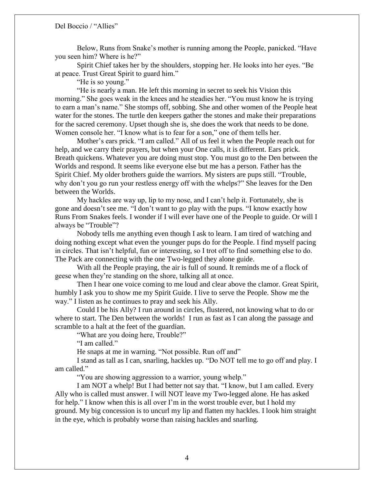Below, Runs from Snake's mother is running among the People, panicked. "Have you seen him? Where is he?"

Spirit Chief takes her by the shoulders, stopping her. He looks into her eyes. "Be at peace. Trust Great Spirit to guard him."

"He is so young."

"He is nearly a man. He left this morning in secret to seek his Vision this morning." She goes weak in the knees and he steadies her. "You must know he is trying to earn a man's name." She stomps off, sobbing. She and other women of the People heat water for the stones. The turtle den keepers gather the stones and make their preparations for the sacred ceremony. Upset though she is, she does the work that needs to be done. Women console her. "I know what is to fear for a son," one of them tells her.

Mother's ears prick. "I am called." All of us feel it when the People reach out for help, and we carry their prayers, but when your One calls, it is different. Ears prick. Breath quickens. Whatever you are doing must stop. You must go to the Den between the Worlds and respond. It seems like everyone else but me has a person. Father has the Spirit Chief. My older brothers guide the warriors. My sisters are pups still. "Trouble, why don't you go run your restless energy off with the whelps?" She leaves for the Den between the Worlds.

My hackles are way up, lip to my nose, and I can't help it. Fortunately, she is gone and doesn't see me. "I don't want to go play with the pups. "I know exactly how Runs From Snakes feels. I wonder if I will ever have one of the People to guide. Or will I always be "Trouble"?

Nobody tells me anything even though I ask to learn. I am tired of watching and doing nothing except what even the younger pups do for the People. I find myself pacing in circles. That isn't helpful, fun or interesting, so I trot off to find something else to do. The Pack are connecting with the one Two-legged they alone guide.

With all the People praying, the air is full of sound. It reminds me of a flock of geese when they're standing on the shore, talking all at once.

Then I hear one voice coming to me loud and clear above the clamor. Great Spirit, humbly I ask you to show me my Spirit Guide. I live to serve the People. Show me the way." I listen as he continues to pray and seek his Ally.

Could I be his Ally? I run around in circles, flustered, not knowing what to do or where to start. The Den between the worlds! I run as fast as I can along the passage and scramble to a halt at the feet of the guardian.

"What are you doing here, Trouble?"

"I am called."

He snaps at me in warning. "Not possible. Run off and"

I stand as tall as I can, snarling, hackles up. "Do NOT tell me to go off and play. I am called."

"You are showing aggression to a warrior, young whelp."

I am NOT a whelp! But I had better not say that. "I know, but I am called. Every Ally who is called must answer. I will NOT leave my Two-legged alone. He has asked for help." I know when this is all over I'm in the worst trouble ever, but I hold my ground. My big concession is to uncurl my lip and flatten my hackles. I look him straight in the eye, which is probably worse than raising hackles and snarling.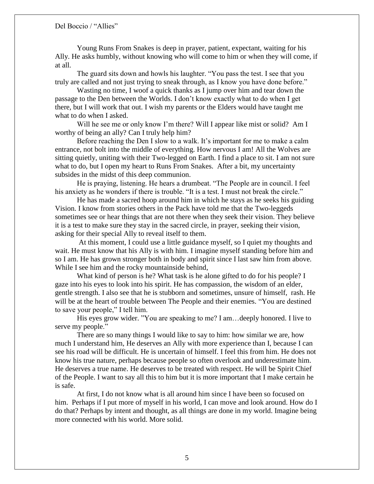Young Runs From Snakes is deep in prayer, patient, expectant, waiting for his Ally. He asks humbly, without knowing who will come to him or when they will come, if at all.

The guard sits down and howls his laughter. "You pass the test. I see that you truly are called and not just trying to sneak through, as I know you have done before."

Wasting no time, I woof a quick thanks as I jump over him and tear down the passage to the Den between the Worlds. I don't know exactly what to do when I get there, but I will work that out. I wish my parents or the Elders would have taught me what to do when I asked.

Will he see me or only know I'm there? Will I appear like mist or solid? Am I worthy of being an ally? Can I truly help him?

Before reaching the Den I slow to a walk. It's important for me to make a calm entrance, not bolt into the middle of everything. How nervous I am! All the Wolves are sitting quietly, uniting with their Two-legged on Earth. I find a place to sit. I am not sure what to do, but I open my heart to Runs From Snakes. After a bit, my uncertainty subsides in the midst of this deep communion.

He is praying, listening. He hears a drumbeat. "The People are in council. I feel his anxiety as he wonders if there is trouble. "It is a test. I must not break the circle."

He has made a sacred hoop around him in which he stays as he seeks his guiding Vision. I know from stories others in the Pack have told me that the Two-leggeds sometimes see or hear things that are not there when they seek their vision. They believe it is a test to make sure they stay in the sacred circle, in prayer, seeking their vision, asking for their special Ally to reveal itself to them.

At this moment, I could use a little guidance myself, so I quiet my thoughts and wait. He must know that his Ally is with him. I imagine myself standing before him and so I am. He has grown stronger both in body and spirit since I last saw him from above. While I see him and the rocky mountainside behind,

What kind of person is he? What task is he alone gifted to do for his people? I gaze into his eyes to look into his spirit. He has compassion, the wisdom of an elder, gentle strength. I also see that he is stubborn and sometimes, unsure of himself, rash. He will be at the heart of trouble between The People and their enemies. "You are destined to save your people," I tell him.

His eyes grow wider. "You are speaking to me? I am…deeply honored. I live to serve my people."

There are so many things I would like to say to him: how similar we are, how much I understand him, He deserves an Ally with more experience than I, because I can see his road will be difficult. He is uncertain of himself. I feel this from him. He does not know his true nature, perhaps because people so often overlook and underestimate him. He deserves a true name. He deserves to be treated with respect. He will be Spirit Chief of the People. I want to say all this to him but it is more important that I make certain he is safe.

At first, I do not know what is all around him since I have been so focused on him. Perhaps if I put more of myself in his world, I can move and look around. How do I do that? Perhaps by intent and thought, as all things are done in my world. Imagine being more connected with his world. More solid.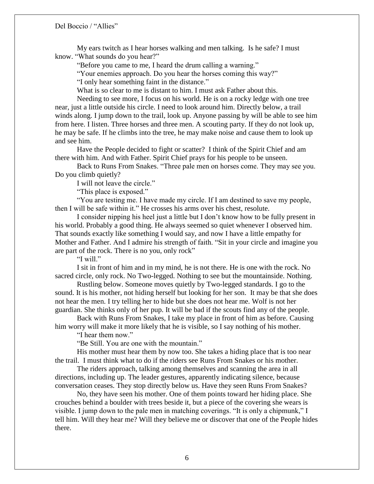My ears twitch as I hear horses walking and men talking. Is he safe? I must know. "What sounds do you hear?"

"Before you came to me, I heard the drum calling a warning."

"Your enemies approach. Do you hear the horses coming this way?"

"I only hear something faint in the distance."

What is so clear to me is distant to him. I must ask Father about this.

Needing to see more, I focus on his world. He is on a rocky ledge with one tree near, just a little outside his circle. I need to look around him. Directly below, a trail winds along. I jump down to the trail, look up. Anyone passing by will be able to see him from here. I listen. Three horses and three men. A scouting party. If they do not look up, he may be safe. If he climbs into the tree, he may make noise and cause them to look up and see him.

Have the People decided to fight or scatter? I think of the Spirit Chief and am there with him. And with Father. Spirit Chief prays for his people to be unseen.

Back to Runs From Snakes. "Three pale men on horses come. They may see you. Do you climb quietly?

I will not leave the circle."

"This place is exposed."

"You are testing me. I have made my circle. If I am destined to save my people, then I will be safe within it." He crosses his arms over his chest, resolute.

I consider nipping his heel just a little but I don't know how to be fully present in his world. Probably a good thing. He always seemed so quiet whenever I observed him. That sounds exactly like something I would say, and now I have a little empathy for Mother and Father. And I admire his strength of faith. "Sit in your circle and imagine you are part of the rock. There is no you, only rock"

"I will."

I sit in front of him and in my mind, he is not there. He is one with the rock. No sacred circle, only rock. No Two-legged. Nothing to see but the mountainside. Nothing.

Rustling below. Someone moves quietly by Two-legged standards. I go to the sound. It is his mother, not hiding herself but looking for her son. It may be that she does not hear the men. I try telling her to hide but she does not hear me. Wolf is not her guardian. She thinks only of her pup. It will be bad if the scouts find any of the people.

Back with Runs From Snakes, I take my place in front of him as before. Causing him worry will make it more likely that he is visible, so I say nothing of his mother.

"I hear them now."

"Be Still. You are one with the mountain."

His mother must hear them by now too. She takes a hiding place that is too near the trail. I must think what to do if the riders see Runs From Snakes or his mother.

The riders approach, talking among themselves and scanning the area in all directions, including up. The leader gestures, apparently indicating silence, because conversation ceases. They stop directly below us. Have they seen Runs From Snakes?

No, they have seen his mother. One of them points toward her hiding place. She crouches behind a boulder with trees beside it, but a piece of the covering she wears is visible. I jump down to the pale men in matching coverings. "It is only a chipmunk," I tell him. Will they hear me? Will they believe me or discover that one of the People hides there.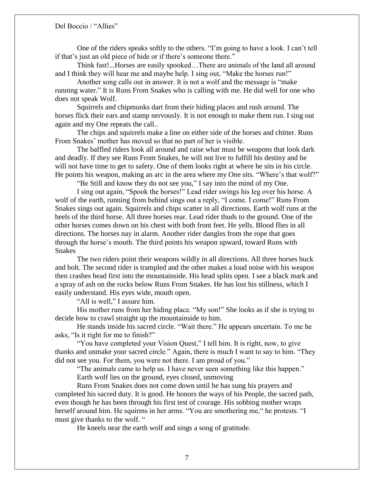One of the riders speaks softly to the others. "I'm going to have a look. I can't tell if that's just an old piece of hide or if there's someone there."

Think fast!...Horses are easily spooked…There are animals of the land all around and I think they will hear me and maybe help. I sing out, "Make the horses run!"

Another song calls out in answer. It is not a wolf and the message is "make running water." It is Runs From Snakes who is calling with me. He did well for one who does not speak Wolf.

Squirrels and chipmunks dart from their hiding places and rush around. The horses flick their ears and stamp nervously. It is not enough to make them run. I sing out again and my One repeats the call..

The chips and squirrels make a line on either side of the horses and chitter. Runs From Snakes' mother has moved so that no part of her is visible.

The baffled riders look all around and raise what must be weapons that look dark and deadly. If they see Runs From Snakes, he will not live to fulfill his destiny and he will not have time to get to safety. One of them looks right at where he sits in his circle. He points his weapon, making an arc in the area where my One sits. "Where's that wolf?"

"Be Still and know they do not see you," I say into the mind of my One.

I sing out again, "Spook the horses!" Lead rider swings his leg over his horse. A wolf of the earth, running from behind sings out a reply, "I come. I come!" Runs From Snakes sings out again. Squirrels and chips scatter in all directions. Earth wolf runs at the heels of the third horse. All three horses rear. Lead rider thuds to the ground. One of the other horses comes down on his chest with both front feet. He yells. Blood flies in all directions. The horses nay in alarm. Another rider dangles from the rope that goes through the horse's mouth. The third points his weapon upward, toward Runs with Snakes

The two riders point their weapons wildly in all directions. All three horses buck and bolt. The second rider is trampled and the other makes a loud noise with his weapon then crashes head first into the mountainside. His head splits open. I see a black mark and a spray of ash on the rocks below Runs From Snakes. He has lost his stillness, which I easily understand. His eyes wide, mouth open.

"All is well," I assure him.

His mother runs from her hiding place. "My son!" She looks as if she is trying to decide how to crawl straight up the mountainside to him.

He stands inside his sacred circle. "Wait there." He appears uncertain. To me he asks, "Is it right for me to finish?"

"You have completed your Vision Quest," I tell him. It is right, now, to give thanks and unmake your sacred circle." Again, there is much I want to say to him. "They did not see you. For them, you were not there. I am proud of you."

"The animals came to help us. I have never seen something like this happen." Earth wolf lies on the ground, eyes closed, unmoving

Runs From Snakes does not come down until he has sung his prayers and completed his sacred duty. It is good. He honors the ways of his People, the sacred path, even though he has been through his first test of courage. His sobbing mother wraps herself around him. He squirms in her arms. "You are smothering me," he protests. "I must give thanks to the wolf. "

He kneels near the earth wolf and sings a song of gratitude.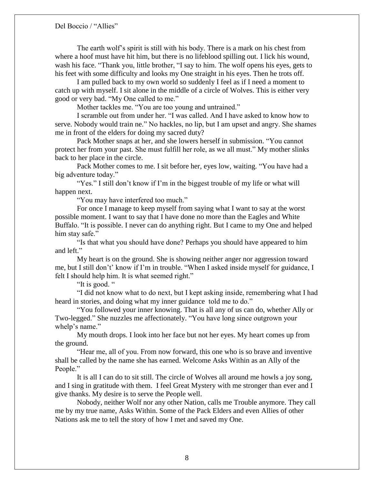The earth wolf's spirit is still with his body. There is a mark on his chest from where a hoof must have hit him, but there is no lifeblood spilling out. I lick his wound, wash his face. "Thank you, little brother, "I say to him. The wolf opens his eyes, gets to his feet with some difficulty and looks my One straight in his eyes. Then he trots off.

I am pulled back to my own world so suddenly I feel as if I need a moment to catch up with myself. I sit alone in the middle of a circle of Wolves. This is either very good or very bad. "My One called to me."

Mother tackles me. "You are too young and untrained."

I scramble out from under her. "I was called. And I have asked to know how to serve. Nobody would train ne." No hackles, no lip, but I am upset and angry. She shames me in front of the elders for doing my sacred duty?

Pack Mother snaps at her, and she lowers herself in submission. "You cannot protect her from your past. She must fulfill her role, as we all must." My mother slinks back to her place in the circle.

Pack Mother comes to me. I sit before her, eyes low, waiting. "You have had a big adventure today."

"Yes." I still don't know if I'm in the biggest trouble of my life or what will happen next.

"You may have interfered too much."

For once I manage to keep myself from saying what I want to say at the worst possible moment. I want to say that I have done no more than the Eagles and White Buffalo. "It is possible. I never can do anything right. But I came to my One and helped him stay safe."

"Is that what you should have done? Perhaps you should have appeared to him and left."

My heart is on the ground. She is showing neither anger nor aggression toward me, but I still don't' know if I'm in trouble. "When I asked inside myself for guidance, I felt I should help him. It is what seemed right."

"It is good. "

"I did not know what to do next, but I kept asking inside, remembering what I had heard in stories, and doing what my inner guidance told me to do."

"You followed your inner knowing. That is all any of us can do, whether Ally or Two-legged." She nuzzles me affectionately. "You have long since outgrown your whelp's name."

My mouth drops. I look into her face but not her eyes. My heart comes up from the ground.

"Hear me, all of you. From now forward, this one who is so brave and inventive shall be called by the name she has earned. Welcome Asks Within as an Ally of the People."

It is all I can do to sit still. The circle of Wolves all around me howls a joy song, and I sing in gratitude with them. I feel Great Mystery with me stronger than ever and I give thanks. My desire is to serve the People well.

Nobody, neither Wolf nor any other Nation, calls me Trouble anymore. They call me by my true name, Asks Within. Some of the Pack Elders and even Allies of other Nations ask me to tell the story of how I met and saved my One.